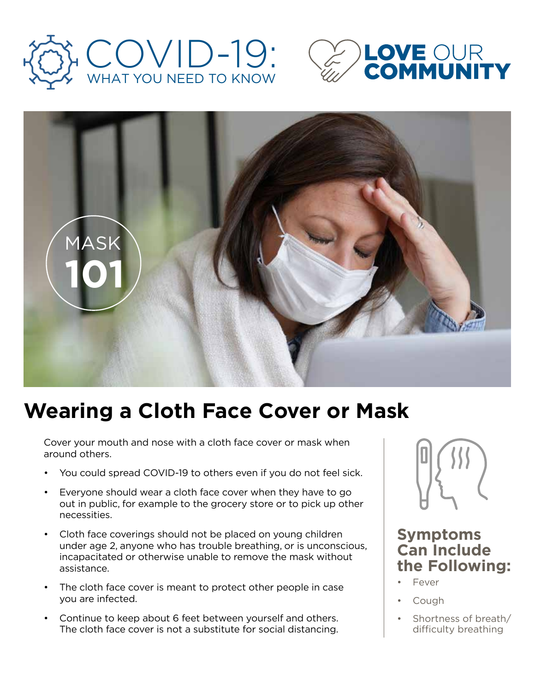





# **Wearing a Cloth Face Cover or Mask**

Cover your mouth and nose with a cloth face cover or mask when around others.

- You could spread COVID-19 to others even if you do not feel sick.
- Everyone should wear a cloth face cover when they have to go out in public, for example to the grocery store or to pick up other necessities.
- Cloth face coverings should not be placed on young children under age 2, anyone who has trouble breathing, or is unconscious, incapacitated or otherwise unable to remove the mask without assistance.
- The cloth face cover is meant to protect other people in case you are infected.
- Continue to keep about 6 feet between yourself and others. The cloth face cover is not a substitute for social distancing.



### **Symptoms Can Include the Following:**

- **Fever**
- Cough
- Shortness of breath/ difficulty breathing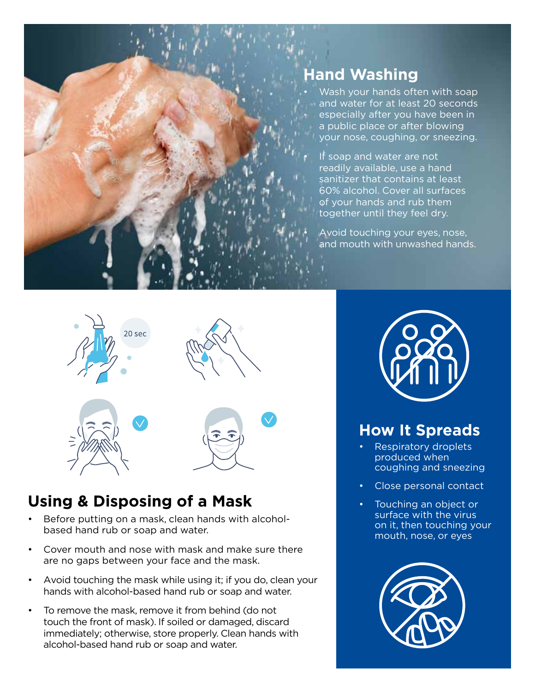

# **Hand Washing**

- Wash your hands often with soap and water for at least 20 seconds especially after you have been in a public place or after blowing your nose, coughing, or sneezing.
- If soap and water are not readily available, use a hand sanitizer that contains at least 60% alcohol. Cover all surfaces of your hands and rub them together until they feel dry.

• Avoid touching your eyes, nose, and mouth with unwashed hands.



### **Using & Disposing of a Mask**

- Before putting on a mask, clean hands with alcoholbased hand rub or soap and water.
- Cover mouth and nose with mask and make sure there are no gaps between your face and the mask.
- Avoid touching the mask while using it; if you do, clean your hands with alcohol-based hand rub or soap and water.
- To remove the mask, remove it from behind (do not touch the front of mask). If soiled or damaged, discard immediately; otherwise, store properly. Clean hands with alcohol-based hand rub or soap and water.



## **How It Spreads**

- Respiratory droplets produced when coughing and sneezing
- Close personal contact
- Touching an object or surface with the virus on it, then touching your mouth, nose, or eyes

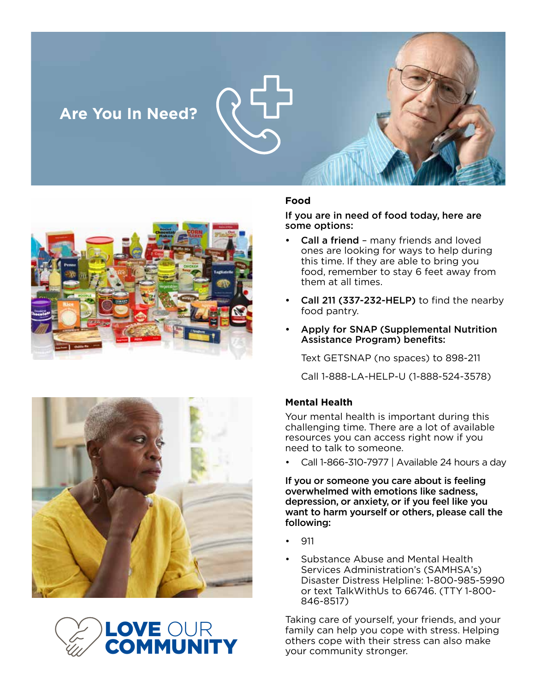## **Are You In Need?**







#### **Food**

If you are in need of food today, here are some options:

- Call a friend many friends and loved ones are looking for ways to help during this time. If they are able to bring you food, remember to stay 6 feet away from them at all times.
- Call 211 (337-232-HELP) to find the nearby food pantry.
- Apply for SNAP (Supplemental Nutrition Assistance Program) benefits:

Text GETSNAP (no spaces) to 898-211

Call 1-888-LA-HELP-U (1-888-524-3578)

#### **Mental Health**

Your mental health is important during this challenging time. There are a lot of available resources you can access right now if you need to talk to someone.

• Call 1-866-310-7977 | Available 24 hours a day

If you or someone you care about is feeling overwhelmed with emotions like sadness, depression, or anxiety, or if you feel like you want to harm yourself or others, please call the following:

- 911
- Substance Abuse and Mental Health Services Administration's (SAMHSA's) Disaster Distress Helpline: 1-800-985-5990 or text TalkWithUs to 66746. (TTY 1-800- 846-8517)

Taking care of yourself, your friends, and your family can help you cope with stress. Helping others cope with their stress can also make your community stronger.